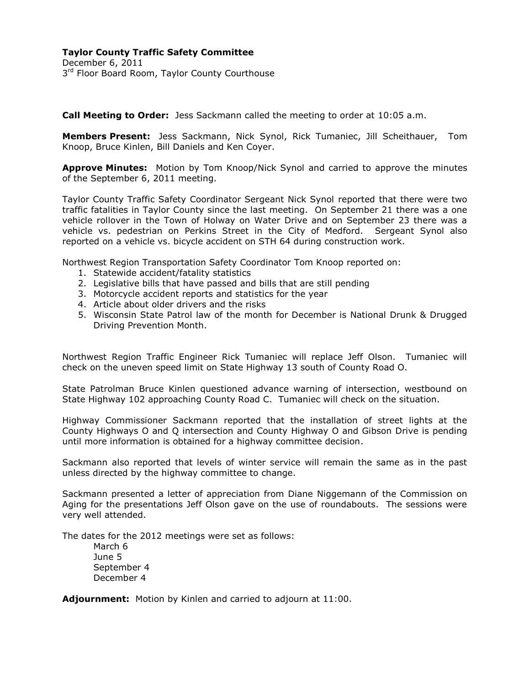**Call Meeting to Order:** Jess Sackmann called the meeting to order at 10:05 a.m.

**Members Present:** Jess Sackmann, Nick Synol, Rick Tumaniec, Jill Scheithauer, Tom Knoop, Bruce Kinlen, Bill Daniels and Ken Coyer.

**Approve Minutes:** Motion by Tom Knoop/Nick Synol and carried to approve the minutes of the September 6, 2011 meeting.

Taylor County Traffic Safety Coordinator Sergeant Nick Synol reported that there were two traffic fatalities in Taylor County since the last meeting. On September 21 there was a one vehicle rollover in the Town of Holway on Water Drive and on September 23 there was a vehicle vs. pedestrian on Perkins Street in the City of Medford. Sergeant Synol also reported on a vehicle vs. bicycle accident on STH 64 during construction work.

Northwest Region Transportation Safety Coordinator Tom Knoop reported on:

- 1. Statewide accident/fatality statistics
- 2. Legislative bills that have passed and bills that are still pending
- 3. Motorcycle accident reports and statistics for the year
- 4. Article about older drivers and the risks
- 5. Wisconsin State Patrol law of the month for December is National Drunk & Drugged Driving Prevention Month.

Northwest Region Traffic Engineer Rick Tumaniec will replace Jeff Olson. Tumaniec will check on the uneven speed limit on State Highway 13 south of County Road O.

State Patrolman Bruce Kinlen questioned advance warning of intersection, westbound on State Highway 102 approaching County Road C. Tumaniec will check on the situation.

Highway Commissioner Sackmann reported that the installation of street lights at the County Highways O and Q intersection and County Highway O and Gibson Drive is pending until more information is obtained for a highway committee decision.

Sackmann also reported that levels of winter service will remain the same as in the past unless directed by the highway committee to change.

Sackmann presented a letter of appreciation from Diane Niggemann of the Commission on Aging for the presentations Jeff Olson gave on the use of roundabouts. The sessions were very well attended.

The dates for the 2012 meetings were set as follows:

March 6 June 5 September 4 December 4

**Adjournment:** Motion by Kinlen and carried to adjourn at 11:00.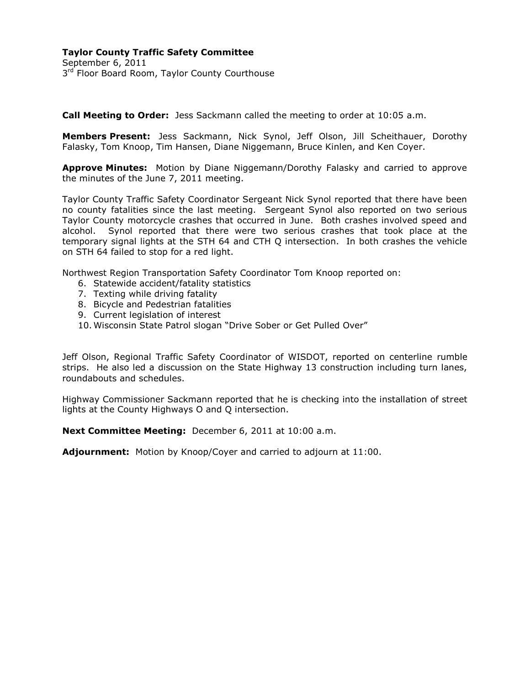**Call Meeting to Order:** Jess Sackmann called the meeting to order at 10:05 a.m.

**Members Present:** Jess Sackmann, Nick Synol, Jeff Olson, Jill Scheithauer, Dorothy Falasky, Tom Knoop, Tim Hansen, Diane Niggemann, Bruce Kinlen, and Ken Coyer.

**Approve Minutes:** Motion by Diane Niggemann/Dorothy Falasky and carried to approve the minutes of the June 7, 2011 meeting.

Taylor County Traffic Safety Coordinator Sergeant Nick Synol reported that there have been no county fatalities since the last meeting. Sergeant Synol also reported on two serious Taylor County motorcycle crashes that occurred in June. Both crashes involved speed and alcohol. Synol reported that there were two serious crashes that took place at the temporary signal lights at the STH 64 and CTH Q intersection. In both crashes the vehicle on STH 64 failed to stop for a red light.

Northwest Region Transportation Safety Coordinator Tom Knoop reported on:

- 6. Statewide accident/fatality statistics
- 7. Texting while driving fatality
- 8. Bicycle and Pedestrian fatalities
- 9. Current legislation of interest
- 10. Wisconsin State Patrol slogan "Drive Sober or Get Pulled Over"

Jeff Olson, Regional Traffic Safety Coordinator of WISDOT, reported on centerline rumble strips. He also led a discussion on the State Highway 13 construction including turn lanes, roundabouts and schedules.

Highway Commissioner Sackmann reported that he is checking into the installation of street lights at the County Highways O and Q intersection.

**Next Committee Meeting:** December 6, 2011 at 10:00 a.m.

**Adjournment:** Motion by Knoop/Coyer and carried to adjourn at 11:00.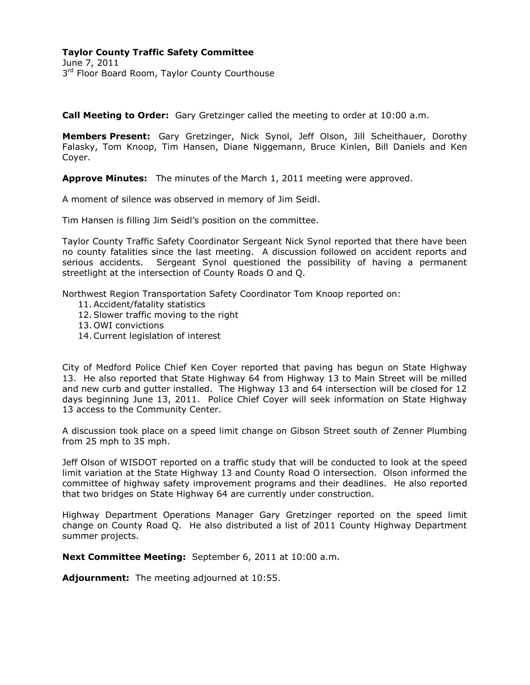## **Taylor County Traffic Safety Committee**

June 7, 2011 3<sup>rd</sup> Floor Board Room, Taylor County Courthouse

**Call Meeting to Order:** Gary Gretzinger called the meeting to order at 10:00 a.m.

**Members Present:** Gary Gretzinger, Nick Synol, Jeff Olson, Jill Scheithauer, Dorothy Falasky, Tom Knoop, Tim Hansen, Diane Niggemann, Bruce Kinlen, Bill Daniels and Ken Coyer.

**Approve Minutes:** The minutes of the March 1, 2011 meeting were approved.

A moment of silence was observed in memory of Jim Seidl.

Tim Hansen is filling Jim Seidl's position on the committee.

Taylor County Traffic Safety Coordinator Sergeant Nick Synol reported that there have been no county fatalities since the last meeting. A discussion followed on accident reports and serious accidents. Sergeant Synol questioned the possibility of having a permanent streetlight at the intersection of County Roads O and Q.

Northwest Region Transportation Safety Coordinator Tom Knoop reported on:

- 11.Accident/fatality statistics
- 12.Slower traffic moving to the right
- 13. OWI convictions
- 14.Current legislation of interest

City of Medford Police Chief Ken Coyer reported that paving has begun on State Highway 13. He also reported that State Highway 64 from Highway 13 to Main Street will be milled and new curb and gutter installed. The Highway 13 and 64 intersection will be closed for 12 days beginning June 13, 2011. Police Chief Coyer will seek information on State Highway 13 access to the Community Center.

A discussion took place on a speed limit change on Gibson Street south of Zenner Plumbing from 25 mph to 35 mph.

Jeff Olson of WISDOT reported on a traffic study that will be conducted to look at the speed limit variation at the State Highway 13 and County Road O intersection. Olson informed the committee of highway safety improvement programs and their deadlines. He also reported that two bridges on State Highway 64 are currently under construction.

Highway Department Operations Manager Gary Gretzinger reported on the speed limit change on County Road Q. He also distributed a list of 2011 County Highway Department summer projects.

**Next Committee Meeting:** September 6, 2011 at 10:00 a.m.

**Adjournment:** The meeting adjourned at 10:55.